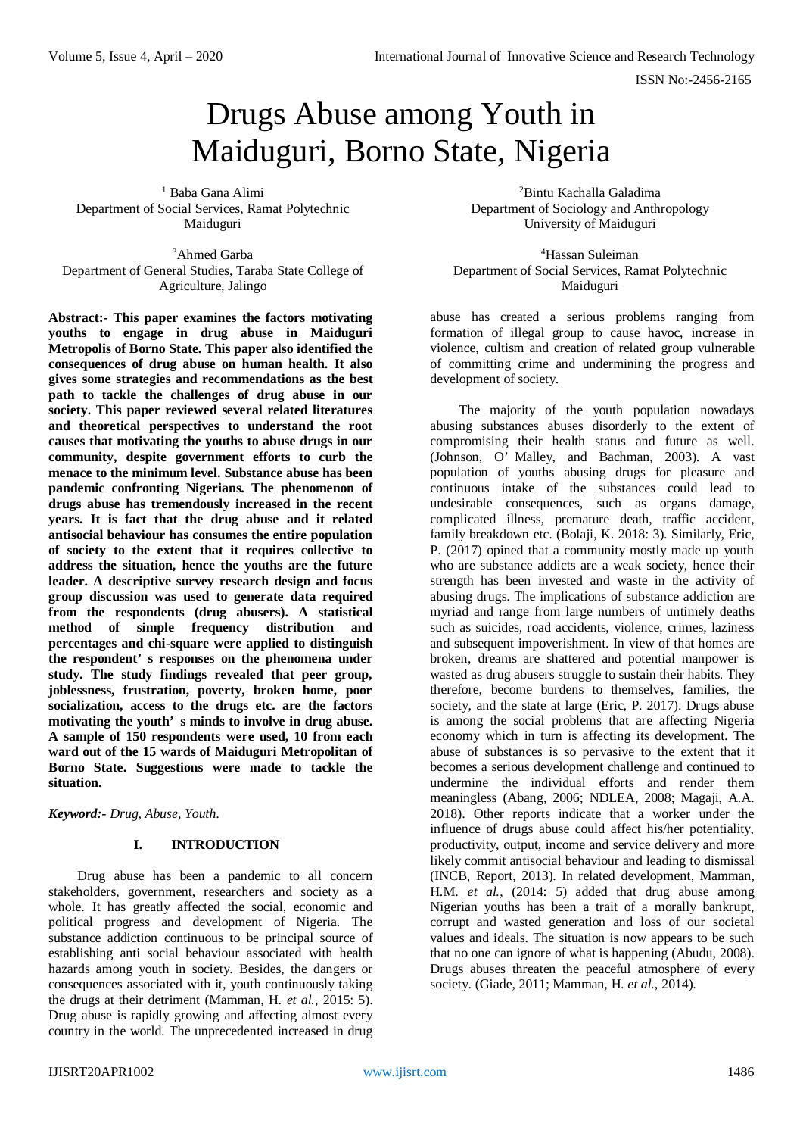# Drugs Abuse among Youth in Maiduguri, Borno State, Nigeria

<sup>1</sup> Baba Gana Alimi Department of Social Services, Ramat Polytechnic Maiduguri

<sup>3</sup>Ahmed Garba Department of General Studies, Taraba State College of Agriculture, Jalingo

**Abstract:- This paper examines the factors motivating youths to engage in drug abuse in Maiduguri Metropolis of Borno State. This paper also identified the consequences of drug abuse on human health. It also gives some strategies and recommendations as the best path to tackle the challenges of drug abuse in our society. This paper reviewed several related literatures and theoretical perspectives to understand the root causes that motivating the youths to abuse drugs in our community, despite government efforts to curb the menace to the minimum level. Substance abuse has been pandemic confronting Nigerians. The phenomenon of drugs abuse has tremendously increased in the recent years. It is fact that the drug abuse and it related antisocial behaviour has consumes the entire population of society to the extent that it requires collective to address the situation, hence the youths are the future leader. A descriptive survey research design and focus group discussion was used to generate data required from the respondents (drug abusers). A statistical method of simple frequency distribution and percentages and chi-square were applied to distinguish the respondent' s responses on the phenomena under study. The study findings revealed that peer group, joblessness, frustration, poverty, broken home, poor socialization, access to the drugs etc. are the factors motivating the youth' s minds to involve in drug abuse. A sample of 150 respondents were used, 10 from each ward out of the 15 wards of Maiduguri Metropolitan of Borno State. Suggestions were made to tackle the situation.**

*Keyword:- Drug, Abuse, Youth.*

# **I. INTRODUCTION**

Drug abuse has been a pandemic to all concern stakeholders, government, researchers and society as a whole. It has greatly affected the social, economic and political progress and development of Nigeria. The substance addiction continuous to be principal source of establishing anti social behaviour associated with health hazards among youth in society. Besides, the dangers or consequences associated with it, youth continuously taking the drugs at their detriment (Mamman, H. *et al.*, 2015: 5). Drug abuse is rapidly growing and affecting almost every country in the world. The unprecedented increased in drug

<sup>2</sup>Bintu Kachalla Galadima Department of Sociology and Anthropology University of Maiduguri

<sup>4</sup>Hassan Suleiman Department of Social Services, Ramat Polytechnic Maiduguri

abuse has created a serious problems ranging from formation of illegal group to cause havoc, increase in violence, cultism and creation of related group vulnerable of committing crime and undermining the progress and development of society.

The majority of the youth population nowadays abusing substances abuses disorderly to the extent of compromising their health status and future as well. (Johnson, O' Malley, and Bachman, 2003). A vast population of youths abusing drugs for pleasure and continuous intake of the substances could lead to undesirable consequences, such as organs damage, complicated illness, premature death, traffic accident, family breakdown etc. (Bolaji, K. 2018: 3). Similarly, Eric, P. (2017) opined that a community mostly made up youth who are substance addicts are a weak society, hence their strength has been invested and waste in the activity of abusing drugs. The implications of substance addiction are myriad and range from large numbers of untimely deaths such as suicides, road accidents, violence, crimes, laziness and subsequent impoverishment. In view of that homes are broken, dreams are shattered and potential manpower is wasted as drug abusers struggle to sustain their habits. They therefore, become burdens to themselves, families, the society, and the state at large (Eric, P. 2017). Drugs abuse is among the social problems that are affecting Nigeria economy which in turn is affecting its development. The abuse of substances is so pervasive to the extent that it becomes a serious development challenge and continued to undermine the individual efforts and render them meaningless (Abang, 2006; NDLEA, 2008; Magaji, A.A. 2018). Other reports indicate that a worker under the influence of drugs abuse could affect his/her potentiality, productivity, output, income and service delivery and more likely commit antisocial behaviour and leading to dismissal (INCB, Report, 2013). In related development, Mamman, H.M. *et al.*, (2014: 5) added that drug abuse among Nigerian youths has been a trait of a morally bankrupt, corrupt and wasted generation and loss of our societal values and ideals. The situation is now appears to be such that no one can ignore of what is happening (Abudu, 2008). Drugs abuses threaten the peaceful atmosphere of every society. (Giade, 2011; Mamman, H. *et al.*, 2014).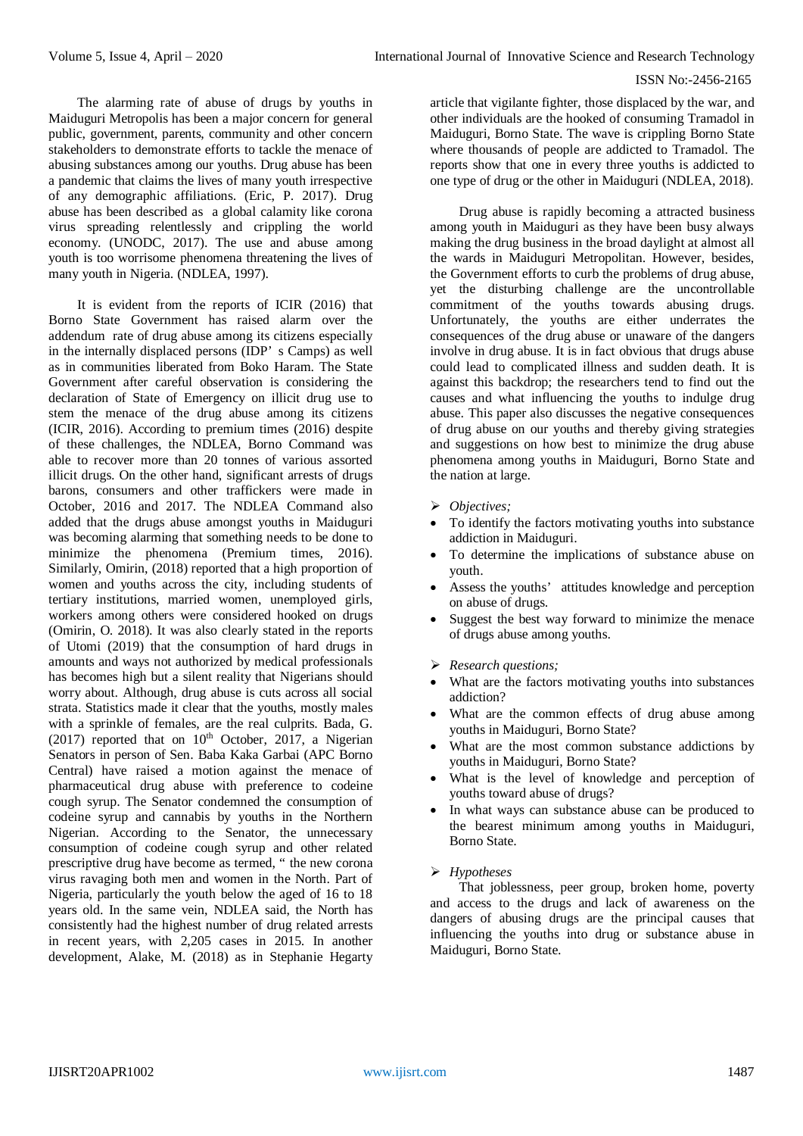The alarming rate of abuse of drugs by youths in Maiduguri Metropolis has been a major concern for general public, government, parents, community and other concern stakeholders to demonstrate efforts to tackle the menace of abusing substances among our youths. Drug abuse has been a pandemic that claims the lives of many youth irrespective of any demographic affiliations. (Eric, P. 2017). Drug abuse has been described as a global calamity like corona virus spreading relentlessly and crippling the world economy. (UNODC, 2017). The use and abuse among youth is too worrisome phenomena threatening the lives of many youth in Nigeria. (NDLEA, 1997).

It is evident from the reports of ICIR (2016) that Borno State Government has raised alarm over the addendum rate of drug abuse among its citizens especially in the internally displaced persons (IDP' s Camps) as well as in communities liberated from Boko Haram. The State Government after careful observation is considering the declaration of State of Emergency on illicit drug use to stem the menace of the drug abuse among its citizens (ICIR, 2016). According to premium times (2016) despite of these challenges, the NDLEA, Borno Command was able to recover more than 20 tonnes of various assorted illicit drugs. On the other hand, significant arrests of drugs barons, consumers and other traffickers were made in October, 2016 and 2017. The NDLEA Command also added that the drugs abuse amongst youths in Maiduguri was becoming alarming that something needs to be done to minimize the phenomena (Premium times, 2016). Similarly, Omirin, (2018) reported that a high proportion of women and youths across the city, including students of tertiary institutions, married women, unemployed girls, workers among others were considered hooked on drugs (Omirin, O. 2018). It was also clearly stated in the reports of Utomi (2019) that the consumption of hard drugs in amounts and ways not authorized by medical professionals has becomes high but a silent reality that Nigerians should worry about. Although, drug abuse is cuts across all social strata. Statistics made it clear that the youths, mostly males with a sprinkle of females, are the real culprits. Bada, G. (2017) reported that on  $10^{th}$  October, 2017, a Nigerian Senators in person of Sen. Baba Kaka Garbai (APC Borno Central) have raised a motion against the menace of pharmaceutical drug abuse with preference to codeine cough syrup. The Senator condemned the consumption of codeine syrup and cannabis by youths in the Northern Nigerian. According to the Senator, the unnecessary consumption of codeine cough syrup and other related prescriptive drug have become as termed, " the new corona virus ravaging both men and women in the North. Part of Nigeria, particularly the youth below the aged of 16 to 18 years old. In the same vein, NDLEA said, the North has consistently had the highest number of drug related arrests in recent years, with 2,205 cases in 2015. In another development, Alake, M. (2018) as in Stephanie Hegarty

article that vigilante fighter, those displaced by the war, and other individuals are the hooked of consuming Tramadol in Maiduguri, Borno State. The wave is crippling Borno State where thousands of people are addicted to Tramadol. The reports show that one in every three youths is addicted to one type of drug or the other in Maiduguri (NDLEA, 2018).

Drug abuse is rapidly becoming a attracted business among youth in Maiduguri as they have been busy always making the drug business in the broad daylight at almost all the wards in Maiduguri Metropolitan. However, besides, the Government efforts to curb the problems of drug abuse, yet the disturbing challenge are the uncontrollable commitment of the youths towards abusing drugs. Unfortunately, the youths are either underrates the consequences of the drug abuse or unaware of the dangers involve in drug abuse. It is in fact obvious that drugs abuse could lead to complicated illness and sudden death. It is against this backdrop; the researchers tend to find out the causes and what influencing the youths to indulge drug abuse. This paper also discusses the negative consequences of drug abuse on our youths and thereby giving strategies and suggestions on how best to minimize the drug abuse phenomena among youths in Maiduguri, Borno State and the nation at large.

- *Objectives;*
- To identify the factors motivating youths into substance addiction in Maiduguri.
- To determine the implications of substance abuse on youth.
- Assess the youths' attitudes knowledge and perception on abuse of drugs.
- Suggest the best way forward to minimize the menace of drugs abuse among youths.
- *Research questions;*
- What are the factors motivating youths into substances addiction?
- What are the common effects of drug abuse among youths in Maiduguri, Borno State?
- What are the most common substance addictions by youths in Maiduguri, Borno State?
- What is the level of knowledge and perception of youths toward abuse of drugs?
- In what ways can substance abuse can be produced to the bearest minimum among youths in Maiduguri, Borno State.

# *Hypotheses*

That joblessness, peer group, broken home, poverty and access to the drugs and lack of awareness on the dangers of abusing drugs are the principal causes that influencing the youths into drug or substance abuse in Maiduguri, Borno State.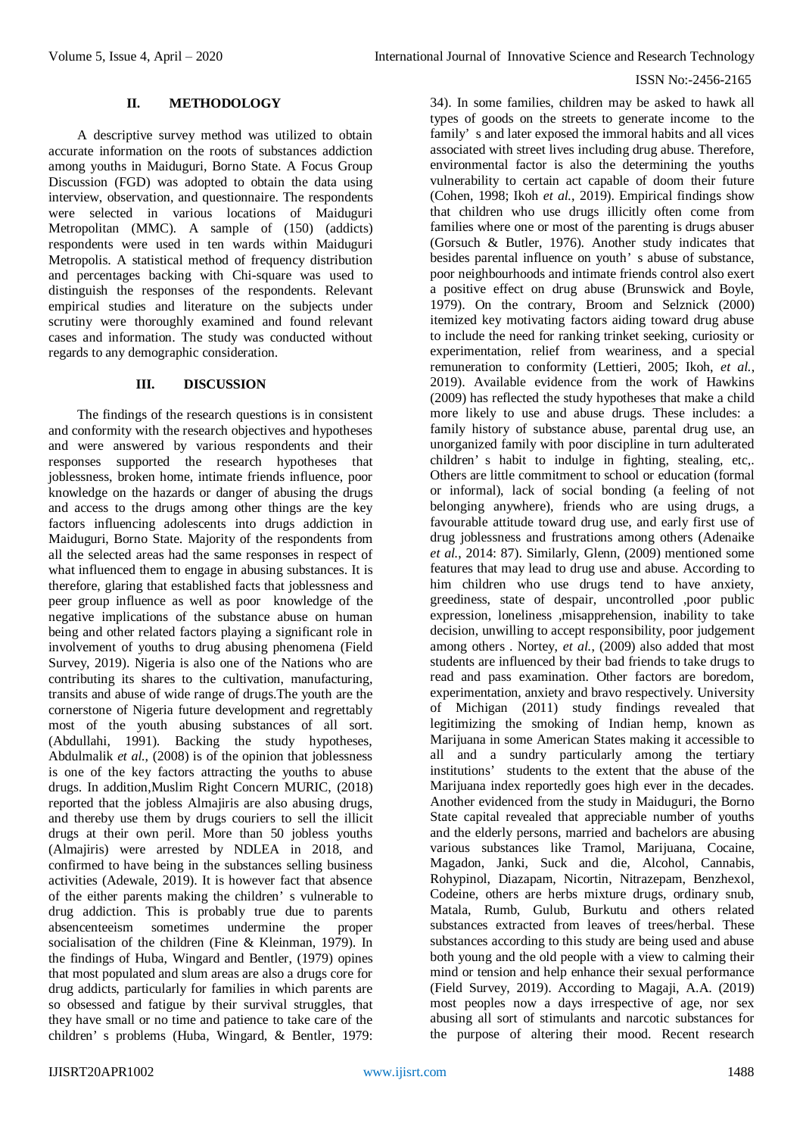## **II. METHODOLOGY**

A descriptive survey method was utilized to obtain accurate information on the roots of substances addiction among youths in Maiduguri, Borno State. A Focus Group Discussion (FGD) was adopted to obtain the data using interview, observation, and questionnaire. The respondents were selected in various locations of Maiduguri Metropolitan (MMC). A sample of (150) (addicts) respondents were used in ten wards within Maiduguri Metropolis. A statistical method of frequency distribution and percentages backing with Chi-square was used to distinguish the responses of the respondents. Relevant empirical studies and literature on the subjects under scrutiny were thoroughly examined and found relevant cases and information. The study was conducted without regards to any demographic consideration.

## **III. DISCUSSION**

The findings of the research questions is in consistent and conformity with the research objectives and hypotheses and were answered by various respondents and their responses supported the research hypotheses that joblessness, broken home, intimate friends influence, poor knowledge on the hazards or danger of abusing the drugs and access to the drugs among other things are the key factors influencing adolescents into drugs addiction in Maiduguri, Borno State. Majority of the respondents from all the selected areas had the same responses in respect of what influenced them to engage in abusing substances. It is therefore, glaring that established facts that joblessness and peer group influence as well as poor knowledge of the negative implications of the substance abuse on human being and other related factors playing a significant role in involvement of youths to drug abusing phenomena (Field Survey, 2019). Nigeria is also one of the Nations who are contributing its shares to the cultivation, manufacturing, transits and abuse of wide range of drugs.The youth are the cornerstone of Nigeria future development and regrettably most of the youth abusing substances of all sort. (Abdullahi, 1991). Backing the study hypotheses, Abdulmalik *et al.*, (2008) is of the opinion that joblessness is one of the key factors attracting the youths to abuse drugs. In addition,Muslim Right Concern MURIC, (2018) reported that the jobless Almajiris are also abusing drugs, and thereby use them by drugs couriers to sell the illicit drugs at their own peril. More than 50 jobless youths (Almajiris) were arrested by NDLEA in 2018, and confirmed to have being in the substances selling business activities (Adewale, 2019). It is however fact that absence of the either parents making the children' s vulnerable to drug addiction. This is probably true due to parents absencenteeism sometimes undermine the proper socialisation of the children (Fine & Kleinman, 1979). In the findings of Huba, Wingard and Bentler, (1979) opines that most populated and slum areas are also a drugs core for drug addicts, particularly for families in which parents are so obsessed and fatigue by their survival struggles, that they have small or no time and patience to take care of the children' s problems (Huba, Wingard, & Bentler, 1979:

34). In some families, children may be asked to hawk all types of goods on the streets to generate income to the family' s and later exposed the immoral habits and all vices associated with street lives including drug abuse. Therefore, environmental factor is also the determining the youths vulnerability to certain act capable of doom their future (Cohen, 1998; Ikoh *et al.*, 2019). Empirical findings show that children who use drugs illicitly often come from families where one or most of the parenting is drugs abuser (Gorsuch & Butler, 1976). Another study indicates that besides parental influence on youth' s abuse of substance, poor neighbourhoods and intimate friends control also exert a positive effect on drug abuse (Brunswick and Boyle, 1979). On the contrary, Broom and Selznick (2000) itemized key motivating factors aiding toward drug abuse to include the need for ranking trinket seeking, curiosity or experimentation, relief from weariness, and a special remuneration to conformity (Lettieri, 2005; Ikoh, *et al.*, 2019). Available evidence from the work of Hawkins (2009) has reflected the study hypotheses that make a child more likely to use and abuse drugs. These includes: a family history of substance abuse, parental drug use, an unorganized family with poor discipline in turn adulterated children' s habit to indulge in fighting, stealing, etc,. Others are little commitment to school or education (formal or informal), lack of social bonding (a feeling of not belonging anywhere), friends who are using drugs, a favourable attitude toward drug use, and early first use of drug joblessness and frustrations among others (Adenaike *et al.*, 2014: 87). Similarly, Glenn, (2009) mentioned some features that may lead to drug use and abuse. According to him children who use drugs tend to have anxiety, greediness, state of despair, uncontrolled ,poor public expression, loneliness ,misapprehension, inability to take decision, unwilling to accept responsibility, poor judgement among others . Nortey, *et al.*, (2009) also added that most students are influenced by their bad friends to take drugs to read and pass examination. Other factors are boredom, experimentation, anxiety and bravo respectively. University of Michigan (2011) study findings revealed that legitimizing the smoking of Indian hemp, known as Marijuana in some American States making it accessible to all and a sundry particularly among the tertiary institutions' students to the extent that the abuse of the Marijuana index reportedly goes high ever in the decades. Another evidenced from the study in Maiduguri, the Borno State capital revealed that appreciable number of youths and the elderly persons, married and bachelors are abusing various substances like Tramol, Marijuana, Cocaine, Magadon, Janki, Suck and die, Alcohol, Cannabis, Rohypinol, Diazapam, Nicortin, Nitrazepam, Benzhexol, Codeine, others are herbs mixture drugs, ordinary snub, Matala, Rumb, Gulub, Burkutu and others related substances extracted from leaves of trees/herbal. These substances according to this study are being used and abuse both young and the old people with a view to calming their mind or tension and help enhance their sexual performance (Field Survey, 2019). According to Magaji, A.A. (2019) most peoples now a days irrespective of age, nor sex abusing all sort of stimulants and narcotic substances for the purpose of altering their mood. Recent research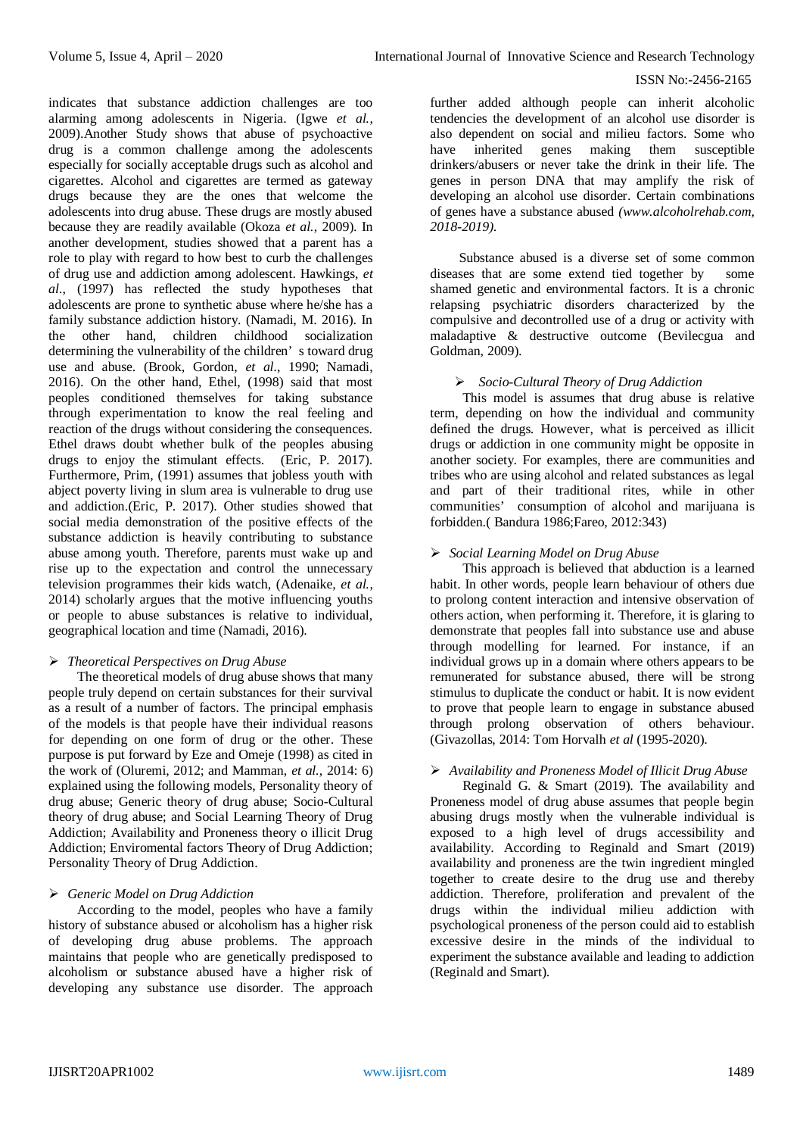further added although people can inherit alcoholic tendencies the development of an alcohol use disorder is also dependent on social and milieu factors. Some who have inherited genes making them susceptible drinkers/abusers or never take the drink in their life. The genes in person DNA that may amplify the risk of developing an alcohol use disorder. Certain combinations of genes have a substance abused *(www.alcoholrehab.com, 2018-2019)*.

Substance abused is a diverse set of some common diseases that are some extend tied together by some shamed genetic and environmental factors. It is a chronic relapsing psychiatric disorders characterized by the compulsive and decontrolled use of a drug or activity with maladaptive & destructive outcome (Bevilecgua and Goldman, 2009).

# *Socio-Cultural Theory of Drug Addiction*

This model is assumes that drug abuse is relative term, depending on how the individual and community defined the drugs. However, what is perceived as illicit drugs or addiction in one community might be opposite in another society. For examples, there are communities and tribes who are using alcohol and related substances as legal and part of their traditional rites, while in other communities' consumption of alcohol and marijuana is forbidden.( Bandura 1986;Fareo, 2012:343)

# *Social Learning Model on Drug Abuse*

This approach is believed that abduction is a learned habit. In other words, people learn behaviour of others due to prolong content interaction and intensive observation of others action, when performing it. Therefore, it is glaring to demonstrate that peoples fall into substance use and abuse through modelling for learned. For instance, if an individual grows up in a domain where others appears to be remunerated for substance abused, there will be strong stimulus to duplicate the conduct or habit. It is now evident to prove that people learn to engage in substance abused through prolong observation of others behaviour. (Givazollas, 2014: Tom Horvalh *et al* (1995-2020).

# *Availability and Proneness Model of Illicit Drug Abuse*

Reginald G. & Smart (2019). The availability and Proneness model of drug abuse assumes that people begin abusing drugs mostly when the vulnerable individual is exposed to a high level of drugs accessibility and availability. According to Reginald and Smart (2019) availability and proneness are the twin ingredient mingled together to create desire to the drug use and thereby addiction. Therefore, proliferation and prevalent of the drugs within the individual milieu addiction with psychological proneness of the person could aid to establish excessive desire in the minds of the individual to experiment the substance available and leading to addiction (Reginald and Smart).

alarming among adolescents in Nigeria. (Igwe *et al.*, 2009).Another Study shows that abuse of psychoactive drug is a common challenge among the adolescents especially for socially acceptable drugs such as alcohol and cigarettes. Alcohol and cigarettes are termed as gateway drugs because they are the ones that welcome the adolescents into drug abuse. These drugs are mostly abused because they are readily available (Okoza *et al.*, 2009). In another development, studies showed that a parent has a role to play with regard to how best to curb the challenges of drug use and addiction among adolescent. Hawkings, *et al.*, (1997) has reflected the study hypotheses that adolescents are prone to synthetic abuse where he/she has a family substance addiction history. (Namadi, M. 2016). In the other hand, children childhood socialization determining the vulnerability of the children' s toward drug use and abuse. (Brook, Gordon, *et al.*, 1990; Namadi, 2016). On the other hand, Ethel, (1998) said that most peoples conditioned themselves for taking substance through experimentation to know the real feeling and reaction of the drugs without considering the consequences. Ethel draws doubt whether bulk of the peoples abusing drugs to enjoy the stimulant effects. (Eric, P. 2017). Furthermore, Prim, (1991) assumes that jobless youth with abject poverty living in slum area is vulnerable to drug use and addiction.(Eric, P. 2017). Other studies showed that social media demonstration of the positive effects of the substance addiction is heavily contributing to substance abuse among youth. Therefore, parents must wake up and rise up to the expectation and control the unnecessary television programmes their kids watch, (Adenaike, *et al.*, 2014) scholarly argues that the motive influencing youths or people to abuse substances is relative to individual, geographical location and time (Namadi, 2016).

indicates that substance addiction challenges are too

# *Theoretical Perspectives on Drug Abuse*

The theoretical models of drug abuse shows that many people truly depend on certain substances for their survival as a result of a number of factors. The principal emphasis of the models is that people have their individual reasons for depending on one form of drug or the other. These purpose is put forward by Eze and Omeje (1998) as cited in the work of (Oluremi, 2012; and Mamman, *et al.*, 2014: 6) explained using the following models, Personality theory of drug abuse; Generic theory of drug abuse; Socio-Cultural theory of drug abuse; and Social Learning Theory of Drug Addiction; Availability and Proneness theory o illicit Drug Addiction; Enviromental factors Theory of Drug Addiction; Personality Theory of Drug Addiction.

# *Generic Model on Drug Addiction*

According to the model, peoples who have a family history of substance abused or alcoholism has a higher risk of developing drug abuse problems. The approach maintains that people who are genetically predisposed to alcoholism or substance abused have a higher risk of developing any substance use disorder. The approach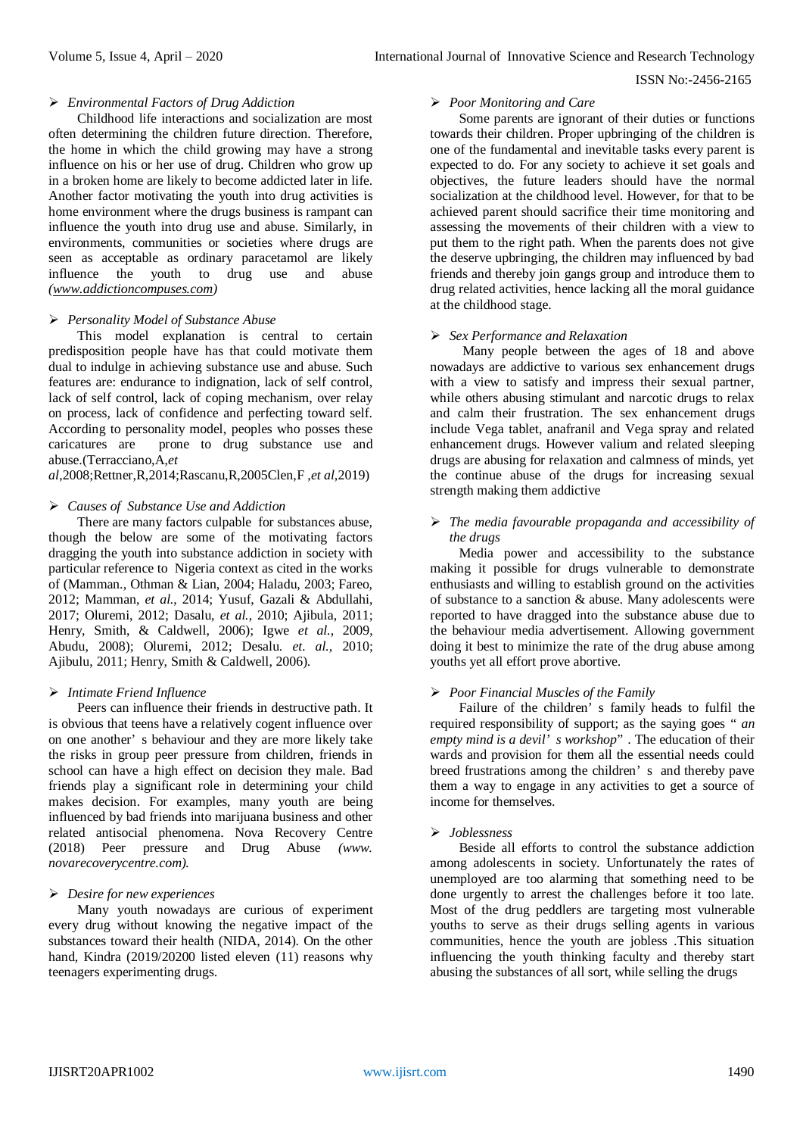#### *Environmental Factors of Drug Addiction*

Childhood life interactions and socialization are most often determining the children future direction. Therefore, the home in which the child growing may have a strong influence on his or her use of drug. Children who grow up in a broken home are likely to become addicted later in life. Another factor motivating the youth into drug activities is home environment where the drugs business is rampant can influence the youth into drug use and abuse. Similarly, in environments, communities or societies where drugs are seen as acceptable as ordinary paracetamol are likely influence the youth to drug use and abuse *[\(www.addictioncompuses.com\)](http://www.addictioncompuses.com/)*

## *Personality Model of Substance Abuse*

This model explanation is central to certain predisposition people have has that could motivate them dual to indulge in achieving substance use and abuse. Such features are: endurance to indignation, lack of self control, lack of self control, lack of coping mechanism, over relay on process, lack of confidence and perfecting toward self. According to personality model, peoples who posses these caricatures are prone to drug substance use and abuse.(Terracciano,A,*et* 

*al*,2008;Rettner,R,2014;Rascanu,R,2005Clen,F ,*et al*,2019)

#### *Causes of Substance Use and Addiction*

There are many factors culpable for substances abuse, though the below are some of the motivating factors dragging the youth into substance addiction in society with particular reference to Nigeria context as cited in the works of (Mamman., Othman & Lian, 2004; Haladu, 2003; Fareo, 2012; Mamman, *et al.*, 2014; Yusuf, Gazali & Abdullahi, 2017; Oluremi, 2012; Dasalu, *et al.*, 2010; Ajibula, 2011; Henry, Smith, & Caldwell, 2006); Igwe *et al.*, 2009, Abudu, 2008); Oluremi, 2012; Desalu. *et. al.,* 2010; Ajibulu, 2011; Henry, Smith & Caldwell, 2006).

#### *Intimate Friend Influence*

Peers can influence their friends in destructive path. It is obvious that teens have a relatively cogent influence over on one another' s behaviour and they are more likely take the risks in group peer pressure from children, friends in school can have a high effect on decision they male. Bad friends play a significant role in determining your child makes decision. For examples, many youth are being influenced by bad friends into marijuana business and other related antisocial phenomena. Nova Recovery Centre (2018) Peer pressure and Drug Abuse *(www. novarecoverycentre.com).*

# *Desire for new experiences*

Many youth nowadays are curious of experiment every drug without knowing the negative impact of the substances toward their health (NIDA, 2014). On the other hand, Kindra (2019/20200 listed eleven (11) reasons why teenagers experimenting drugs.

## *Poor Monitoring and Care*

Some parents are ignorant of their duties or functions towards their children. Proper upbringing of the children is one of the fundamental and inevitable tasks every parent is expected to do. For any society to achieve it set goals and objectives, the future leaders should have the normal socialization at the childhood level. However, for that to be achieved parent should sacrifice their time monitoring and assessing the movements of their children with a view to put them to the right path. When the parents does not give the deserve upbringing, the children may influenced by bad friends and thereby join gangs group and introduce them to drug related activities, hence lacking all the moral guidance at the childhood stage.

#### *Sex Performance and Relaxation*

Many people between the ages of 18 and above nowadays are addictive to various sex enhancement drugs with a view to satisfy and impress their sexual partner, while others abusing stimulant and narcotic drugs to relax and calm their frustration. The sex enhancement drugs include Vega tablet, anafranil and Vega spray and related enhancement drugs. However valium and related sleeping drugs are abusing for relaxation and calmness of minds, yet the continue abuse of the drugs for increasing sexual strength making them addictive

# *The media favourable propaganda and accessibility of the drugs*

Media power and accessibility to the substance making it possible for drugs vulnerable to demonstrate enthusiasts and willing to establish ground on the activities of substance to a sanction & abuse. Many adolescents were reported to have dragged into the substance abuse due to the behaviour media advertisement. Allowing government doing it best to minimize the rate of the drug abuse among youths yet all effort prove abortive.

#### *Poor Financial Muscles of the Family*

Failure of the children' s family heads to fulfil the required responsibility of support; as the saying goes " *an empty mind is a devil' s workshop*" . The education of their wards and provision for them all the essential needs could breed frustrations among the children' s and thereby pave them a way to engage in any activities to get a source of income for themselves.

## *Joblessness*

Beside all efforts to control the substance addiction among adolescents in society. Unfortunately the rates of unemployed are too alarming that something need to be done urgently to arrest the challenges before it too late. Most of the drug peddlers are targeting most vulnerable youths to serve as their drugs selling agents in various communities, hence the youth are jobless .This situation influencing the youth thinking faculty and thereby start abusing the substances of all sort, while selling the drugs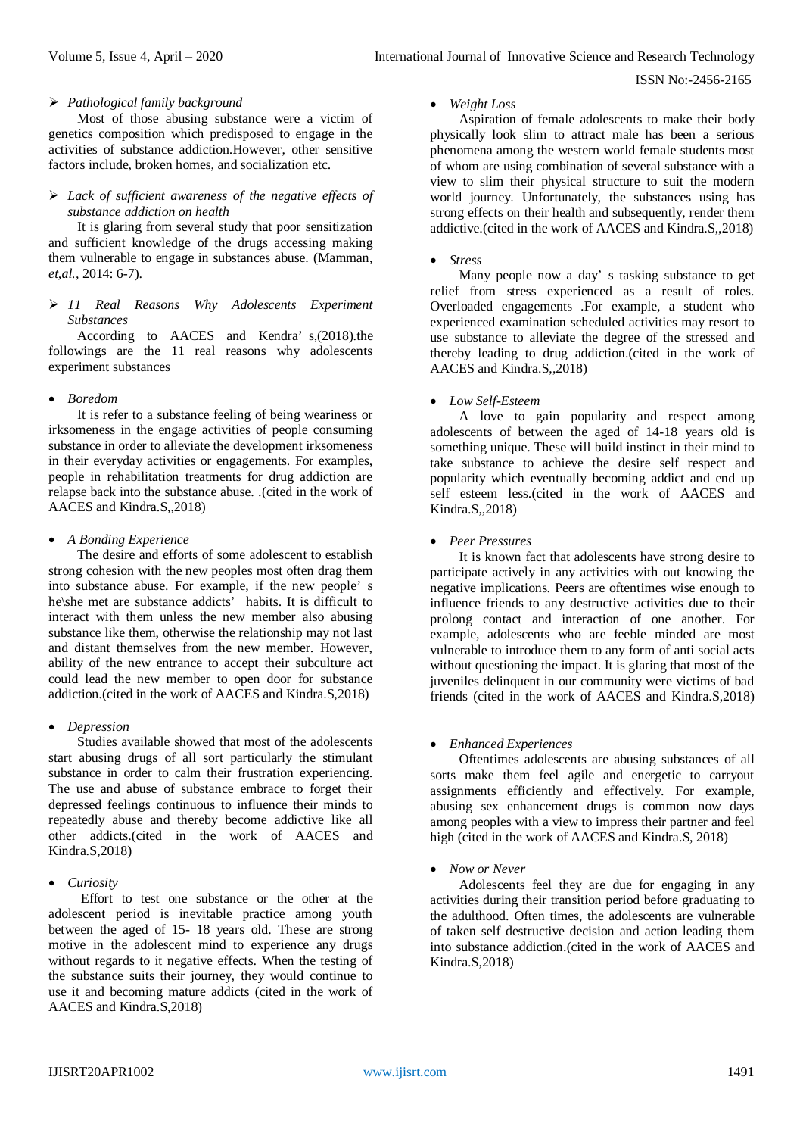## *Pathological family background*

Most of those abusing substance were a victim of genetics composition which predisposed to engage in the activities of substance addiction.However, other sensitive factors include, broken homes, and socialization etc.

# *Lack of sufficient awareness of the negative effects of substance addiction on health*

It is glaring from several study that poor sensitization and sufficient knowledge of the drugs accessing making them vulnerable to engage in substances abuse. (Mamman, *et,al.,* 2014: 6-7).

## *11 Real Reasons Why Adolescents Experiment Substances*

According to AACES and Kendra' s,(2018).the followings are the 11 real reasons why adolescents experiment substances

# *Boredom*

It is refer to a substance feeling of being weariness or irksomeness in the engage activities of people consuming substance in order to alleviate the development irksomeness in their everyday activities or engagements. For examples, people in rehabilitation treatments for drug addiction are relapse back into the substance abuse. .(cited in the work of AACES and Kindra.S,,2018)

## *A Bonding Experience*

The desire and efforts of some adolescent to establish strong cohesion with the new peoples most often drag them into substance abuse. For example, if the new people' s he\she met are substance addicts' habits. It is difficult to interact with them unless the new member also abusing substance like them, otherwise the relationship may not last and distant themselves from the new member. However, ability of the new entrance to accept their subculture act could lead the new member to open door for substance addiction.(cited in the work of AACES and Kindra.S,2018)

# *Depression*

Studies available showed that most of the adolescents start abusing drugs of all sort particularly the stimulant substance in order to calm their frustration experiencing. The use and abuse of substance embrace to forget their depressed feelings continuous to influence their minds to repeatedly abuse and thereby become addictive like all other addicts.(cited in the work of AACES and Kindra.S,2018)

# *Curiosity*

Effort to test one substance or the other at the adolescent period is inevitable practice among youth between the aged of 15- 18 years old. These are strong motive in the adolescent mind to experience any drugs without regards to it negative effects. When the testing of the substance suits their journey, they would continue to use it and becoming mature addicts (cited in the work of AACES and Kindra.S,2018)

#### *Weight Loss*

Aspiration of female adolescents to make their body physically look slim to attract male has been a serious phenomena among the western world female students most of whom are using combination of several substance with a view to slim their physical structure to suit the modern world journey. Unfortunately, the substances using has strong effects on their health and subsequently, render them addictive.(cited in the work of AACES and Kindra.S,,2018)

## *Stress*

Many people now a day' s tasking substance to get relief from stress experienced as a result of roles. Overloaded engagements .For example, a student who experienced examination scheduled activities may resort to use substance to alleviate the degree of the stressed and thereby leading to drug addiction.(cited in the work of AACES and Kindra.S,,2018)

## *Low Self-Esteem*

A love to gain popularity and respect among adolescents of between the aged of 14-18 years old is something unique. These will build instinct in their mind to take substance to achieve the desire self respect and popularity which eventually becoming addict and end up self esteem less.(cited in the work of AACES and Kindra.S,,2018)

## *Peer Pressures*

It is known fact that adolescents have strong desire to participate actively in any activities with out knowing the negative implications. Peers are oftentimes wise enough to influence friends to any destructive activities due to their prolong contact and interaction of one another. For example, adolescents who are feeble minded are most vulnerable to introduce them to any form of anti social acts without questioning the impact. It is glaring that most of the juveniles delinquent in our community were victims of bad friends (cited in the work of AACES and Kindra.S,2018)

# *Enhanced Experiences*

Oftentimes adolescents are abusing substances of all sorts make them feel agile and energetic to carryout assignments efficiently and effectively. For example, abusing sex enhancement drugs is common now days among peoples with a view to impress their partner and feel high (cited in the work of AACES and Kindra.S, 2018)

# *Now or Never*

Adolescents feel they are due for engaging in any activities during their transition period before graduating to the adulthood. Often times, the adolescents are vulnerable of taken self destructive decision and action leading them into substance addiction.(cited in the work of AACES and Kindra.S,2018)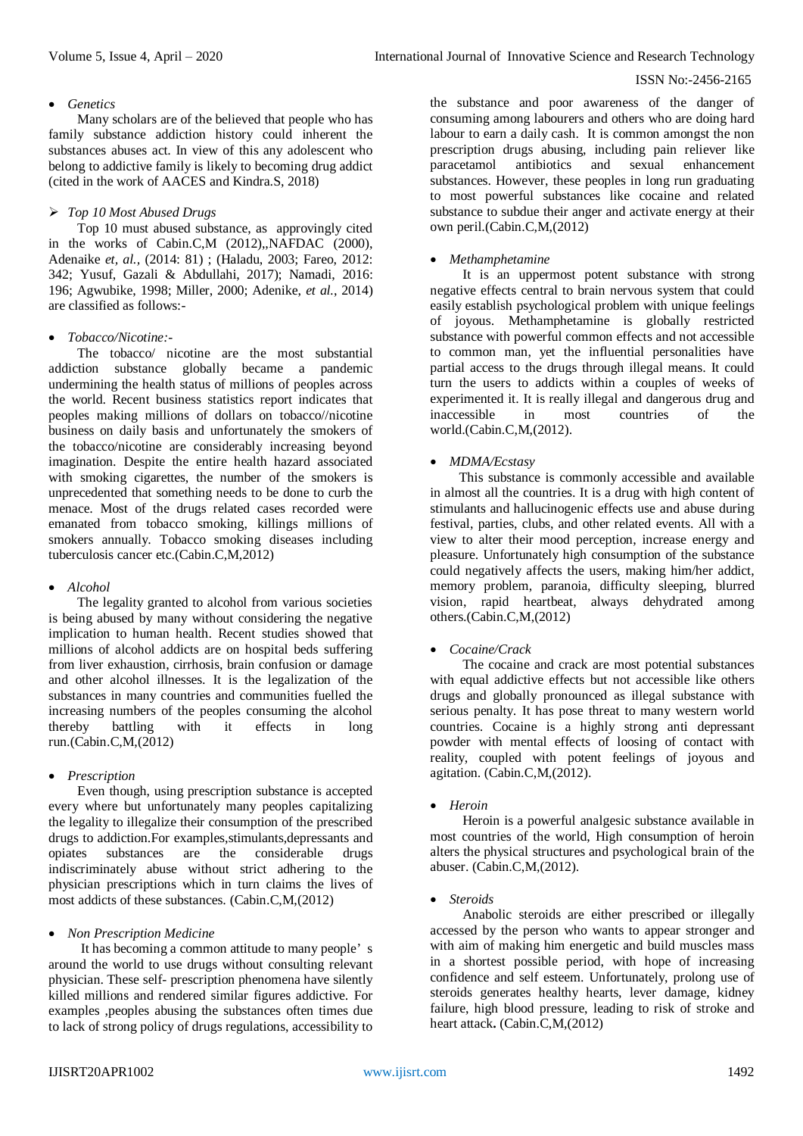# *Genetics*

Many scholars are of the believed that people who has family substance addiction history could inherent the substances abuses act. In view of this any adolescent who belong to addictive family is likely to becoming drug addict (cited in the work of AACES and Kindra.S, 2018)

# *Top 10 Most Abused Drugs*

Top 10 must abused substance, as approvingly cited in the works of Cabin.C,M (2012),,NAFDAC (2000), Adenaike *et, al.,* (2014: 81) ; (Haladu, 2003; Fareo, 2012: 342; Yusuf, Gazali & Abdullahi, 2017); Namadi, 2016: 196; Agwubike, 1998; Miller, 2000; Adenike, *et al.*, 2014) are classified as follows:-

# *Tobacco/Nicotine:-*

The tobacco/ nicotine are the most substantial addiction substance globally became a pandemic undermining the health status of millions of peoples across the world. Recent business statistics report indicates that peoples making millions of dollars on tobacco//nicotine business on daily basis and unfortunately the smokers of the tobacco/nicotine are considerably increasing beyond imagination. Despite the entire health hazard associated with smoking cigarettes, the number of the smokers is unprecedented that something needs to be done to curb the menace. Most of the drugs related cases recorded were emanated from tobacco smoking, killings millions of smokers annually. Tobacco smoking diseases including tuberculosis cancer etc.(Cabin.C,M,2012)

# *Alcohol*

The legality granted to alcohol from various societies is being abused by many without considering the negative implication to human health. Recent studies showed that millions of alcohol addicts are on hospital beds suffering from liver exhaustion, cirrhosis, brain confusion or damage and other alcohol illnesses. It is the legalization of the substances in many countries and communities fuelled the increasing numbers of the peoples consuming the alcohol thereby battling with it effects in long run.(Cabin.C,M,(2012)

# *Prescription*

Even though, using prescription substance is accepted every where but unfortunately many peoples capitalizing the legality to illegalize their consumption of the prescribed drugs to addiction.For examples, stimulants, depressants and opiates substances are the considerable drugs substances are the considerable indiscriminately abuse without strict adhering to the physician prescriptions which in turn claims the lives of most addicts of these substances. (Cabin.C,M,(2012)

# *Non Prescription Medicine*

It has becoming a common attitude to many people' s around the world to use drugs without consulting relevant physician. These self- prescription phenomena have silently killed millions and rendered similar figures addictive. For examples ,peoples abusing the substances often times due to lack of strong policy of drugs regulations, accessibility to

the substance and poor awareness of the danger of consuming among labourers and others who are doing hard labour to earn a daily cash. It is common amongst the non prescription drugs abusing, including pain reliever like paracetamol antibiotics and sexual enhancement substances. However, these peoples in long run graduating to most powerful substances like cocaine and related substance to subdue their anger and activate energy at their own peril.(Cabin.C,M,(2012)

# *Methamphetamine*

It is an uppermost potent substance with strong negative effects central to brain nervous system that could easily establish psychological problem with unique feelings of joyous. Methamphetamine is globally restricted substance with powerful common effects and not accessible to common man, yet the influential personalities have partial access to the drugs through illegal means. It could turn the users to addicts within a couples of weeks of experimented it. It is really illegal and dangerous drug and inaccessible in most countries of the world.(Cabin.C,M,(2012).

# *MDMA/Ecstasy*

This substance is commonly accessible and available in almost all the countries. It is a drug with high content of stimulants and hallucinogenic effects use and abuse during festival, parties, clubs, and other related events. All with a view to alter their mood perception, increase energy and pleasure. Unfortunately high consumption of the substance could negatively affects the users, making him/her addict, memory problem, paranoia, difficulty sleeping, blurred vision, rapid heartbeat, always dehydrated among others.(Cabin.C,M,(2012)

# *Cocaine/Crack*

The cocaine and crack are most potential substances with equal addictive effects but not accessible like others drugs and globally pronounced as illegal substance with serious penalty. It has pose threat to many western world countries. Cocaine is a highly strong anti depressant powder with mental effects of loosing of contact with reality, coupled with potent feelings of joyous and agitation. (Cabin.C,M,(2012).

# *Heroin*

Heroin is a powerful analgesic substance available in most countries of the world, High consumption of heroin alters the physical structures and psychological brain of the abuser. (Cabin.C,M,(2012).

# *Steroids*

Anabolic steroids are either prescribed or illegally accessed by the person who wants to appear stronger and with aim of making him energetic and build muscles mass in a shortest possible period, with hope of increasing confidence and self esteem. Unfortunately, prolong use of steroids generates healthy hearts, lever damage, kidney failure, high blood pressure, leading to risk of stroke and heart attack**.** (Cabin.C,M,(2012)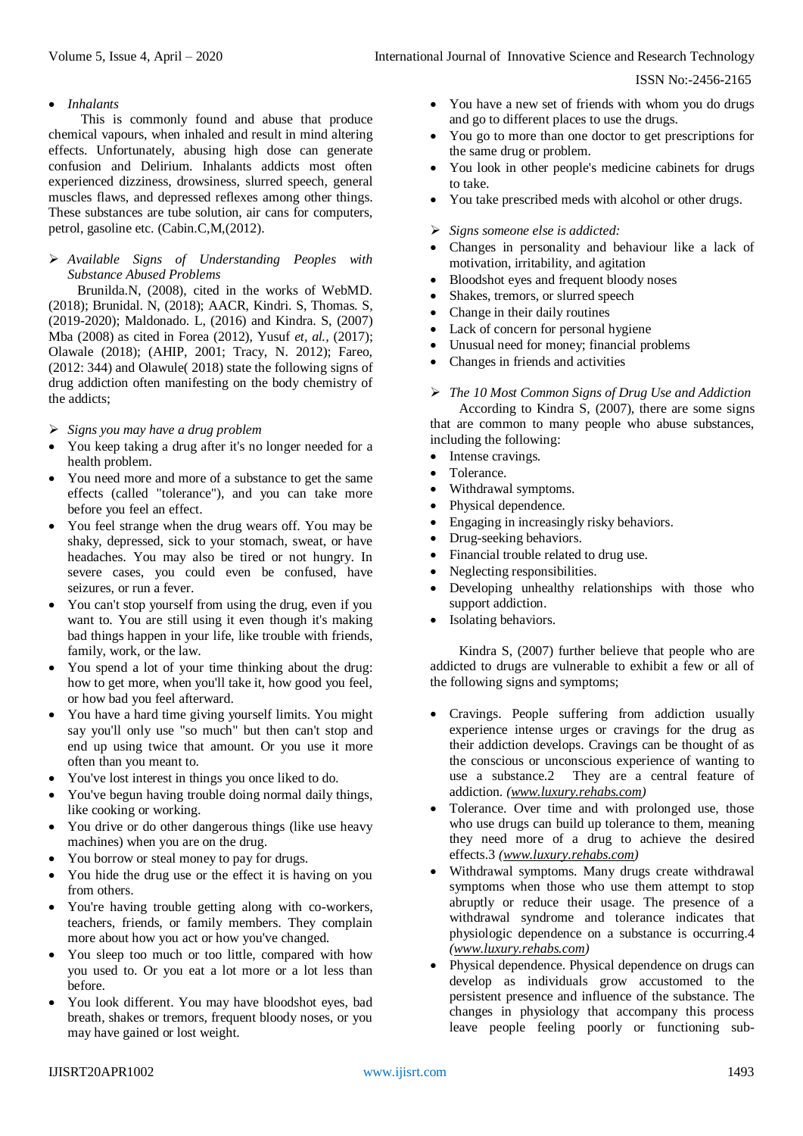# *Inhalants*

This is commonly found and abuse that produce chemical vapours, when inhaled and result in mind altering effects. Unfortunately, abusing high dose can generate confusion and Delirium. Inhalants addicts most often experienced dizziness, drowsiness, slurred speech, general muscles flaws, and depressed reflexes among other things. These substances are tube solution, air cans for computers, petrol, gasoline etc. (Cabin.C,M,(2012).

# *Available Signs of Understanding Peoples with Substance Abused Problems*

Brunilda.N, (2008), cited in the works of WebMD. (2018); Brunidal. N, (2018); AACR, Kindri. S, Thomas. S, (2019-2020); Maldonado. L, (2016) and Kindra. S, (2007) Mba (2008) as cited in Forea (2012), Yusuf *et, al.,* (2017); Olawale (2018); (AHIP, 2001; Tracy, N. 2012); Fareo, (2012: 344) and Olawule( 2018) state the following signs of drug addiction often manifesting on the body chemistry of the addicts;

- *Signs you may have a drug problem*
- You keep taking a drug after it's no longer needed for a health problem.
- You need more and more of a substance to get the same effects (called "tolerance"), and you can take more before you feel an effect.
- You feel strange when the drug wears off. You may be shaky, depressed, sick to your stomach, sweat, or have headaches. You may also be tired or not hungry. In severe cases, you could even be confused, have seizures, or run a fever.
- You can't stop yourself from using the drug, even if you want to. You are still using it even though it's making bad things happen in your life, like trouble with friends, family, work, or the law.
- You spend a lot of your time thinking about the drug: how to get more, when you'll take it, how good you feel, or how bad you feel afterward.
- You have a hard time giving yourself limits. You might say you'll only use "so much" but then can't stop and end up using twice that amount. Or you use it more often than you meant to.
- You've lost interest in things you once liked to do.
- You've begun having trouble doing normal daily things, like cooking or working.
- You drive or do other dangerous things (like use heavy machines) when you are on the drug.
- You borrow or steal money to pay for drugs.
- You hide the drug use or the effect it is having on you from others.
- You're having trouble getting along with co-workers, teachers, friends, or family members. They complain more about how you act or how you've changed.
- You sleep too much or too little, compared with how you used to. Or you eat a lot more or a lot less than before.
- You look different. You may have bloodshot eyes, bad breath, shakes or tremors, frequent bloody noses, or you may have gained or lost weight.
- You have a new set of friends with whom you do drugs and go to different places to use the drugs.
- You go to more than one doctor to get prescriptions for the same drug or problem.
- You look in other people's medicine cabinets for drugs to take.
- You take prescribed meds with alcohol or other drugs.

## *Signs someone else is addicted:*

- Changes in personality and behaviour like a lack of motivation, irritability, and agitation
- Bloodshot eyes and frequent bloody noses
- Shakes, tremors, or slurred speech
- Change in their daily routines
- Lack of concern for personal hygiene
- Unusual need for money; financial problems
- Changes in friends and activities

# *The 10 Most Common Signs of Drug Use and Addiction*

According to Kindra S, (2007), there are some signs that are common to many people who abuse substances, including the following:

- Intense cravings.
- Tolerance.
- Withdrawal symptoms.
- Physical dependence.
- Engaging in increasingly risky behaviors.
- Drug-seeking behaviors.
- Financial trouble related to drug use.
- Neglecting responsibilities.
- Developing unhealthy relationships with those who support addiction.
- Isolating behaviors.

Kindra S, (2007) further believe that people who are addicted to drugs are vulnerable to exhibit a few or all of the following signs and symptoms;

- Cravings. People suffering from addiction usually experience intense urges or cravings for the drug as their addiction develops. Cravings can be thought of as the conscious or unconscious experience of wanting to use a substance.2 They are a central feature of addiction. *[\(www.luxury.rehabs.com\)](http://www.luxury.rehabs.com/)*
- Tolerance. Over time and with prolonged use, those who use drugs can build up tolerance to them, meaning they need more of a drug to achieve the desired effects.3 *[\(www.luxury.rehabs.com\)](http://www.luxury.rehabs.com/)*
- Withdrawal symptoms. Many drugs create withdrawal symptoms when those who use them attempt to stop abruptly or reduce their usage. The presence of a withdrawal syndrome and tolerance indicates that physiologic dependence on a substance is occurring.4 *[\(www.luxury.rehabs.com\)](http://www.luxury.rehabs.com/)*
- Physical dependence. Physical dependence on drugs can develop as individuals grow accustomed to the persistent presence and influence of the substance. The changes in physiology that accompany this process leave people feeling poorly or functioning sub-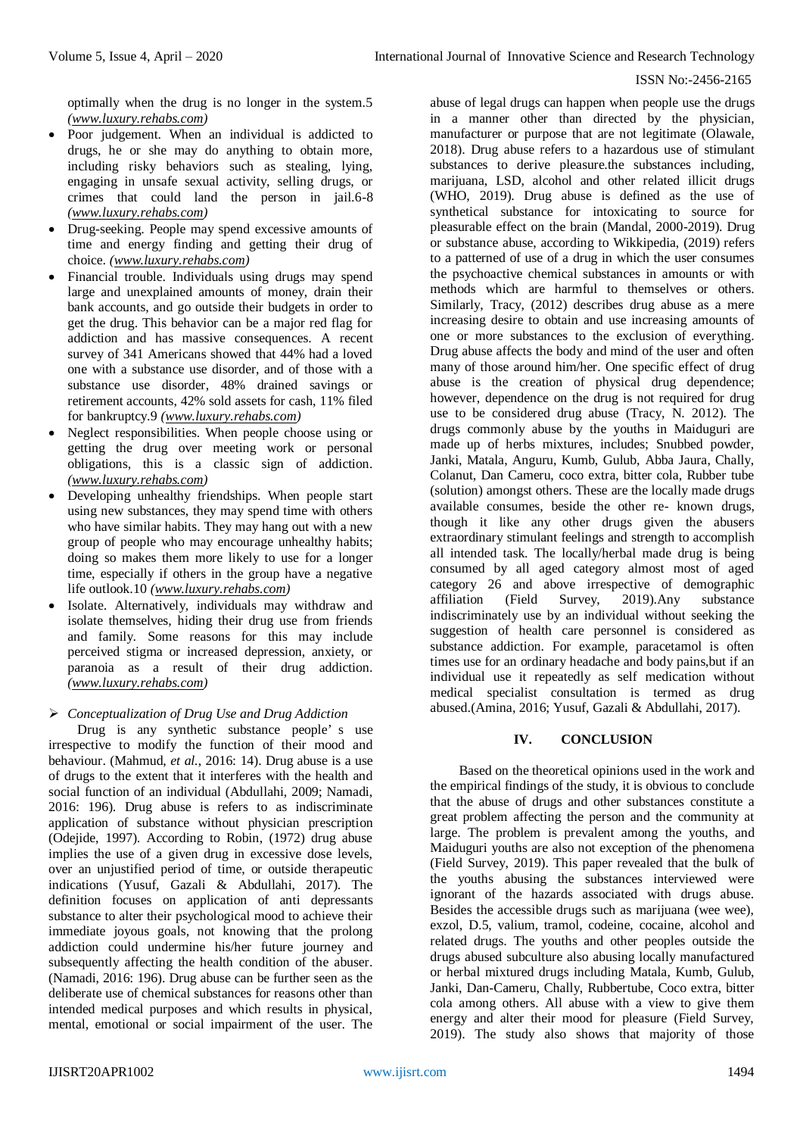optimally when the drug is no longer in the system.5 *[\(www.luxury.rehabs.com\)](http://www.luxury.rehabs.com/)*

- Poor judgement. When an individual is addicted to drugs, he or she may do anything to obtain more, including risky behaviors such as stealing, lying, engaging in unsafe sexual activity, selling drugs, or crimes that could land the person in jail.6-8 *[\(www.luxury.rehabs.com\)](http://www.luxury.rehabs.com/)*
- Drug-seeking. People may spend excessive amounts of time and energy finding and getting their drug of choice. *[\(www.luxury.rehabs.com\)](http://www.luxury.rehabs.com/)*
- Financial trouble. Individuals using drugs may spend large and unexplained amounts of money, drain their bank accounts, and go outside their budgets in order to get the drug. This behavior can be a major red flag for addiction and has massive consequences. A recent survey of 341 Americans showed that 44% had a loved one with a substance use disorder, and of those with a substance use disorder, 48% drained savings or retirement accounts, 42% sold assets for cash, 11% filed for bankruptcy.9 *[\(www.luxury.rehabs.com\)](http://www.luxury.rehabs.com/)*
- Neglect responsibilities. When people choose using or getting the drug over meeting work or personal obligations, this is a classic sign of addiction. *[\(www.luxury.rehabs.com\)](http://www.luxury.rehabs.com/)*
- Developing unhealthy friendships. When people start using new substances, they may spend time with others who have similar habits. They may hang out with a new group of people who may encourage unhealthy habits; doing so makes them more likely to use for a longer time, especially if others in the group have a negative life outlook.10 *[\(www.luxury.rehabs.com\)](http://www.luxury.rehabs.com/)*
- Isolate. Alternatively, individuals may withdraw and isolate themselves, hiding their drug use from friends and family. Some reasons for this may include perceived stigma or increased depression, anxiety, or paranoia as a result of their drug addiction. *[\(www.luxury.rehabs.com\)](http://www.luxury.rehabs.com/)*

# *Conceptualization of Drug Use and Drug Addiction*

Drug is any synthetic substance people' s use irrespective to modify the function of their mood and behaviour. (Mahmud, *et al.*, 2016: 14). Drug abuse is a use of drugs to the extent that it interferes with the health and social function of an individual (Abdullahi, 2009; Namadi, 2016: 196). Drug abuse is refers to as indiscriminate application of substance without physician prescription (Odejide, 1997). According to Robin, (1972) drug abuse implies the use of a given drug in excessive dose levels, over an unjustified period of time, or outside therapeutic indications (Yusuf, Gazali & Abdullahi, 2017). The definition focuses on application of anti depressants substance to alter their psychological mood to achieve their immediate joyous goals, not knowing that the prolong addiction could undermine his/her future journey and subsequently affecting the health condition of the abuser. (Namadi, 2016: 196). Drug abuse can be further seen as the deliberate use of chemical substances for reasons other than intended medical purposes and which results in physical, mental, emotional or social impairment of the user. The

abuse of legal drugs can happen when people use the drugs in a manner other than directed by the physician, manufacturer or purpose that are not legitimate (Olawale, 2018). Drug abuse refers to a hazardous use of stimulant substances to derive pleasure.the substances including, marijuana, LSD, alcohol and other related illicit drugs (WHO, 2019). Drug abuse is defined as the use of synthetical substance for intoxicating to source for pleasurable effect on the brain (Mandal, 2000-2019). Drug or substance abuse, according to Wikkipedia, (2019) refers to a patterned of use of a drug in which the user consumes the psychoactive chemical substances in amounts or with methods which are harmful to themselves or others. Similarly, Tracy, (2012) describes drug abuse as a mere increasing desire to obtain and use increasing amounts of one or more substances to the exclusion of everything. Drug abuse affects the body and mind of the user and often many of those around him/her. One specific effect of drug abuse is the creation of physical drug dependence; however, dependence on the drug is not required for drug use to be considered drug abuse (Tracy, N. 2012). The drugs commonly abuse by the youths in Maiduguri are made up of herbs mixtures, includes; Snubbed powder, Janki, Matala, Anguru, Kumb, Gulub, Abba Jaura, Chally, Colanut, Dan Cameru, coco extra, bitter cola, Rubber tube (solution) amongst others. These are the locally made drugs available consumes, beside the other re- known drugs, though it like any other drugs given the abusers extraordinary stimulant feelings and strength to accomplish all intended task. The locally/herbal made drug is being consumed by all aged category almost most of aged category 26 and above irrespective of demographic affiliation (Field Survey, 2019).Any substance indiscriminately use by an individual without seeking the suggestion of health care personnel is considered as substance addiction. For example, paracetamol is often times use for an ordinary headache and body pains,but if an individual use it repeatedly as self medication without medical specialist consultation is termed as drug abused.(Amina, 2016; Yusuf, Gazali & Abdullahi, 2017).

# **IV. CONCLUSION**

Based on the theoretical opinions used in the work and the empirical findings of the study, it is obvious to conclude that the abuse of drugs and other substances constitute a great problem affecting the person and the community at large. The problem is prevalent among the youths, and Maiduguri youths are also not exception of the phenomena (Field Survey, 2019). This paper revealed that the bulk of the youths abusing the substances interviewed were ignorant of the hazards associated with drugs abuse. Besides the accessible drugs such as marijuana (wee wee), exzol, D.5, valium, tramol, codeine, cocaine, alcohol and related drugs. The youths and other peoples outside the drugs abused subculture also abusing locally manufactured or herbal mixtured drugs including Matala, Kumb, Gulub, Janki, Dan-Cameru, Chally, Rubbertube, Coco extra, bitter cola among others. All abuse with a view to give them energy and alter their mood for pleasure (Field Survey, 2019). The study also shows that majority of those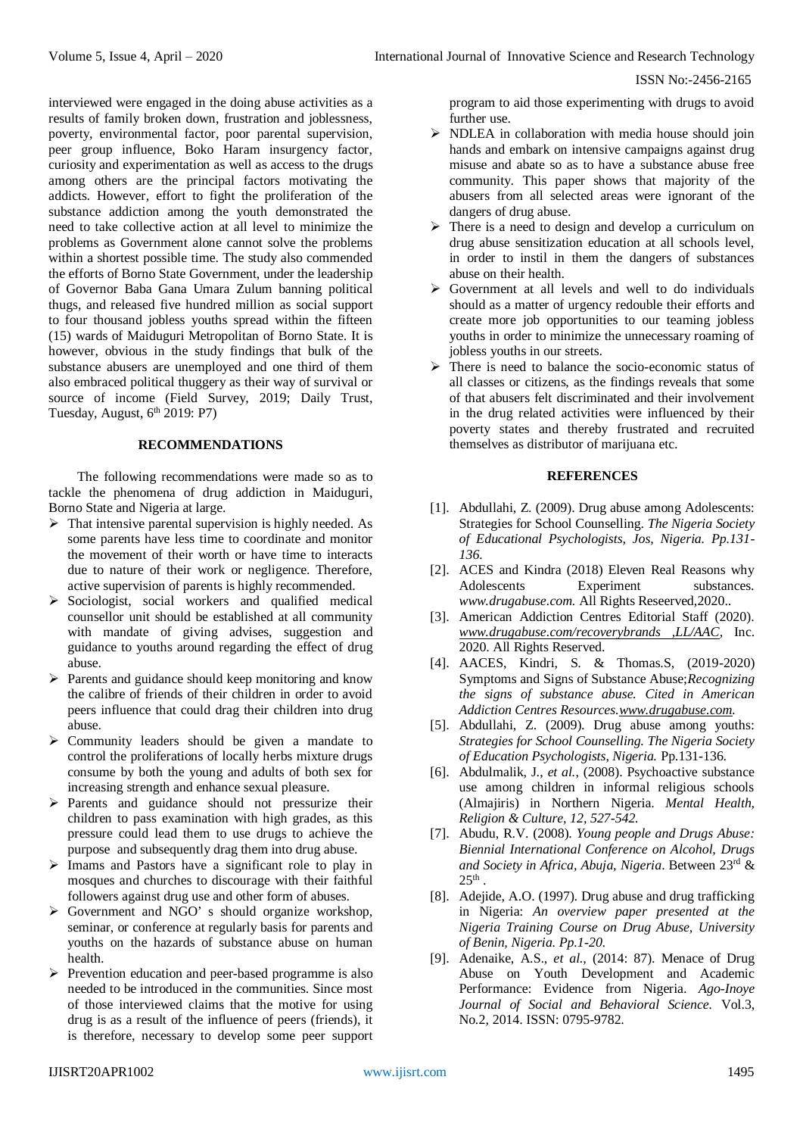interviewed were engaged in the doing abuse activities as a results of family broken down, frustration and joblessness, poverty, environmental factor, poor parental supervision, peer group influence, Boko Haram insurgency factor, curiosity and experimentation as well as access to the drugs among others are the principal factors motivating the addicts. However, effort to fight the proliferation of the substance addiction among the youth demonstrated the need to take collective action at all level to minimize the problems as Government alone cannot solve the problems within a shortest possible time. The study also commended the efforts of Borno State Government, under the leadership of Governor Baba Gana Umara Zulum banning political thugs, and released five hundred million as social support to four thousand jobless youths spread within the fifteen (15) wards of Maiduguri Metropolitan of Borno State. It is however, obvious in the study findings that bulk of the substance abusers are unemployed and one third of them also embraced political thuggery as their way of survival or source of income (Field Survey, 2019; Daily Trust, Tuesday, August, 6<sup>th</sup> 2019: P7)

# **RECOMMENDATIONS**

The following recommendations were made so as to tackle the phenomena of drug addiction in Maiduguri, Borno State and Nigeria at large.

- $\triangleright$  That intensive parental supervision is highly needed. As some parents have less time to coordinate and monitor the movement of their worth or have time to interacts due to nature of their work or negligence. Therefore, active supervision of parents is highly recommended.
- $\triangleright$  Sociologist, social workers and qualified medical counsellor unit should be established at all community with mandate of giving advises, suggestion and guidance to youths around regarding the effect of drug abuse.
- $\triangleright$  Parents and guidance should keep monitoring and know the calibre of friends of their children in order to avoid peers influence that could drag their children into drug abuse.
- $\triangleright$  Community leaders should be given a mandate to control the proliferations of locally herbs mixture drugs consume by both the young and adults of both sex for increasing strength and enhance sexual pleasure.
- $\triangleright$  Parents and guidance should not pressurize their children to pass examination with high grades, as this pressure could lead them to use drugs to achieve the purpose and subsequently drag them into drug abuse.
- $\triangleright$  Imams and Pastors have a significant role to play in mosques and churches to discourage with their faithful followers against drug use and other form of abuses.
- $\triangleright$  Government and NGO' s should organize workshop, seminar, or conference at regularly basis for parents and youths on the hazards of substance abuse on human health.
- $\triangleright$  Prevention education and peer-based programme is also needed to be introduced in the communities. Since most of those interviewed claims that the motive for using drug is as a result of the influence of peers (friends), it is therefore, necessary to develop some peer support

program to aid those experimenting with drugs to avoid further use.

- $\triangleright$  NDLEA in collaboration with media house should join hands and embark on intensive campaigns against drug misuse and abate so as to have a substance abuse free community. This paper shows that majority of the abusers from all selected areas were ignorant of the dangers of drug abuse.
- $\triangleright$  There is a need to design and develop a curriculum on drug abuse sensitization education at all schools level, in order to instil in them the dangers of substances abuse on their health.
- $\triangleright$  Government at all levels and well to do individuals should as a matter of urgency redouble their efforts and create more job opportunities to our teaming jobless youths in order to minimize the unnecessary roaming of jobless youths in our streets.
- $\triangleright$  There is need to balance the socio-economic status of all classes or citizens, as the findings reveals that some of that abusers felt discriminated and their involvement in the drug related activities were influenced by their poverty states and thereby frustrated and recruited themselves as distributor of marijuana etc.

# **REFERENCES**

- [1]. Abdullahi, Z. (2009). Drug abuse among Adolescents: Strategies for School Counselling. *The Nigeria Society of Educational Psychologists, Jos, Nigeria. Pp.131- 136.*
- [2]. ACES and Kindra (2018) Eleven Real Reasons why Adolescents Experiment substances. *www.drugabuse.com.* All Rights Reseerved,2020..
- [3]. American Addiction Centres Editorial Staff (2020). *[www.drugabuse.com/recoverybrands ,LL/AAC,](http://www.drugabuse.com/recoverybrands%20,LL/AAC)* Inc. 2020. All Rights Reserved.
- [4]. AACES, Kindri, S. & Thomas.S, (2019-2020) Symptoms and Signs of Substance Abuse;*Recognizing the signs of substance abuse. Cited in American Addiction Centres Resources[.www.drugabuse.com.](http://www.drugabuse.com/)*
- [5]. Abdullahi, Z. (2009). Drug abuse among youths: *Strategies for School Counselling. The Nigeria Society of Education Psychologists, Nigeria.* Pp.131-136.
- [6]. Abdulmalik, J., *et al.*, (2008). Psychoactive substance use among children in informal religious schools (Almajiris) in Northern Nigeria. *Mental Health, Religion & Culture, 12, 527-542.*
- [7]. Abudu, R.V. (2008). *Young people and Drugs Abuse: Biennial International Conference on Alcohol, Drugs and Society in Africa, Abuja, Nigeria*. Between 23rd &  $25^{\text{th}}$  .
- [8]. Adejide, A.O. (1997). Drug abuse and drug trafficking in Nigeria: *An overview paper presented at the Nigeria Training Course on Drug Abuse, University of Benin, Nigeria. Pp.1-20*.
- [9]. Adenaike, A.S., *et al.*, (2014: 87). Menace of Drug Abuse on Youth Development and Academic Performance: Evidence from Nigeria. *Ago-Inoye Journal of Social and Behavioral Science.* Vol.3, No.2, 2014. ISSN: 0795-9782.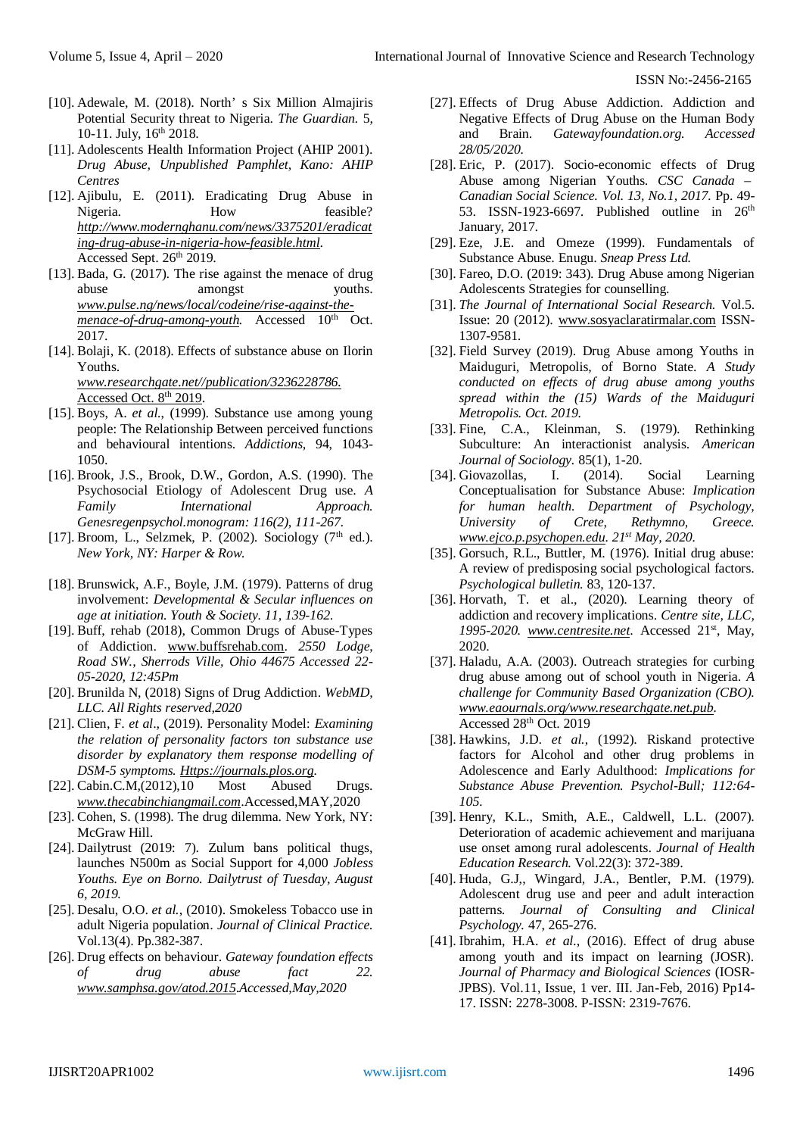- [10]. Adewale, M. (2018). North' s Six Million Almajiris Potential Security threat to Nigeria. *The Guardian.* 5, 10-11. July, 16<sup>th</sup> 2018.
- [11]. Adolescents Health Information Project (AHIP 2001). *Drug Abuse, Unpublished Pamphlet, Kano: AHIP Centres*
- [12]. Ajibulu, E. (2011). Eradicating Drug Abuse in Nigeria. How feasible? *[http://www.modernghanu.com/news/3375201/eradicat](http://www.modernghanu.com/news/3375201/eradicating-drug-abuse-in-nigeria-how-feasible.html) [ing-drug-abuse-in-nigeria-how-feasible.html](http://www.modernghanu.com/news/3375201/eradicating-drug-abuse-in-nigeria-how-feasible.html)*. Accessed Sept. 26<sup>th</sup> 2019.
- [13]. Bada, G. (2017). The rise against the menace of drug abuse amongst youths. *[www.pulse.ng/news/local/codeine/rise-against-the](http://www.pulse.ng/news/local/codeine/rise-against-the-menace-of-drug-among-youth)[menace-of-drug-among-youth.](http://www.pulse.ng/news/local/codeine/rise-against-the-menace-of-drug-among-youth)* Accessed 10<sup>th</sup> Oct. 2017.
- [14]. Bolaji, K. (2018). Effects of substance abuse on Ilorin Youths.

*[www.researchgate.net//publication/3236228786.](http://www.researchgate.net/publication/3236228786.%20Accessed%20Oct.%208th%202019)*  [Accessed Oct. 8](http://www.researchgate.net/publication/3236228786.%20Accessed%20Oct.%208th%202019)th 2019.

- [15]. Boys, A. *et al.*, (1999). Substance use among young people: The Relationship Between perceived functions and behavioural intentions. *Addictions*, 94, 1043- 1050.
- [16]. Brook, J.S., Brook, D.W., Gordon, A.S. (1990). The Psychosocial Etiology of Adolescent Drug use. *A Family International Approach. Genesregenpsychol.monogram: 116(2), 111-267.*
- [17]. Broom, L., Selzmek, P. (2002). Sociology ( $7<sup>th</sup>$  ed.). *New York, NY: Harper & Row.*
- [18]. Brunswick, A.F., Boyle, J.M. (1979). Patterns of drug involvement: *Developmental & Secular influences on age at initiation. Youth & Society. 11, 139-162*.
- [19]. Buff, rehab (2018), Common Drugs of Abuse-Types of Addiction. [www.buffsrehab.com.](http://www.buffsrehab.com/) *2550 Lodge, Road SW., Sherrods Ville, Ohio 44675 Accessed 22- 05-2020, 12:45Pm*
- [20]. Brunilda N, (2018) Signs of Drug Addiction. *WebMD, LLC. All Rights reserved,2020*
- [21]. Clien, F. *et al*., (2019). Personality Model: *Examining the relation of personality factors ton substance use disorder by explanatory them response modelling of DSM-5 symptoms. [Https://journals.plos.org.](https://journals.plos.org/)*
- [22]. Cabin.C.M,(2012),10 Most Abused Drugs. *[www.thecabinchiangmail.com](http://www.thecabinchiangmail.com/)*.Accessed,MAY,2020
- [23]. Cohen, S. (1998). The drug dilemma. New York, NY: McGraw Hill.
- [24]. Dailytrust (2019: 7). Zulum bans political thugs, launches N500m as Social Support for 4,000 *Jobless Youths. Eye on Borno. Dailytrust of Tuesday, August 6, 2019.*
- [25]. Desalu, O.O. *et al.*, (2010). Smokeless Tobacco use in adult Nigeria population. *Journal of Clinical Practice.*  Vol.13(4). Pp.382-387.
- [26]. Drug effects on behaviour. *Gateway foundation effects of drug abuse fact 22. [www.samphsa.gov/atod.2015](http://www.samphsa.gov/atod.2015)*.*Accessed,May,2020*
- [27]. Effects of Drug Abuse Addiction. Addiction and Negative Effects of Drug Abuse on the Human Body and Brain. *Gatewayfoundation.org. Accessed 28/05/2020.*
- [28]. Eric, P. (2017). Socio-economic effects of Drug Abuse among Nigerian Youths. *CSC Canada – Canadian Social Science. Vol. 13, No.1, 2017.* Pp. 49- 53. ISSN-1923-6697. Published outline in 26th January, 2017.
- [29]. Eze, J.E. and Omeze (1999). Fundamentals of Substance Abuse. Enugu. *Sneap Press Ltd.*
- [30]. Fareo, D.O. (2019: 343). Drug Abuse among Nigerian Adolescents Strategies for counselling.
- [31]. *The Journal of International Social Research.* Vol.5. Issue: 20 (2012). [www.sosyaclaratirmalar.com](http://www.sosyaclaratirmalar.com/) ISSN-1307-9581.
- [32]. Field Survey (2019). Drug Abuse among Youths in Maiduguri, Metropolis, of Borno State. *A Study conducted on effects of drug abuse among youths spread within the (15) Wards of the Maiduguri Metropolis. Oct. 2019.*
- [33]. Fine, C.A., Kleinman, S. (1979). Rethinking Subculture: An interactionist analysis. *American Journal of Sociology.* 85(1), 1-20.
- [34]. Giovazollas, I. (2014). Social Learning Conceptualisation for Substance Abuse: *Implication for human health. Department of Psychology, University of Crete, Rethymno, Greece. [www.ejco.p.psychopen.edu.](http://www.ejco.p.psychopen.edu/) 21st May, 2020.*
- [35]. Gorsuch, R.L., Buttler, M. (1976). Initial drug abuse: A review of predisposing social psychological factors. *Psychological bulletin.* 83, 120-137.
- [36]. Horvath, T. et al., (2020). Learning theory of addiction and recovery implications. *Centre site, LLC, 1995-2020. [www.centresite.net](http://www.centresite.net/)*. Accessed 21st, May, 2020.
- [37]. Haladu, A.A. (2003). Outreach strategies for curbing drug abuse among out of school youth in Nigeria. *A challenge for Community Based Organization (CBO). [www.eaournals.org/www.researchgate.net.pub.](http://www.eaournals.org/www.researchgate.net.pub)*  Accessed 28th Oct. 2019
- [38]. Hawkins, J.D. *et al.*, (1992). Riskand protective factors for Alcohol and other drug problems in Adolescence and Early Adulthood: *Implications for Substance Abuse Prevention. Psychol-Bull; 112:64- 105.*
- [39]. Henry, K.L., Smith, A.E., Caldwell, L.L. (2007). Deterioration of academic achievement and marijuana use onset among rural adolescents. *Journal of Health Education Research.* Vol.22(3): 372-389.
- [40]. Huda, G.J,, Wingard, J.A., Bentler, P.M. (1979). Adolescent drug use and peer and adult interaction patterns. *Journal of Consulting and Clinical Psychology.* 47, 265-276.
- [41]. Ibrahim, H.A. *et al.*, (2016). Effect of drug abuse among youth and its impact on learning (JOSR). *Journal of Pharmacy and Biological Sciences* (IOSR-JPBS). Vol.11, Issue, 1 ver. III. Jan-Feb, 2016) Pp14- 17. ISSN: 2278-3008. P-ISSN: 2319-7676.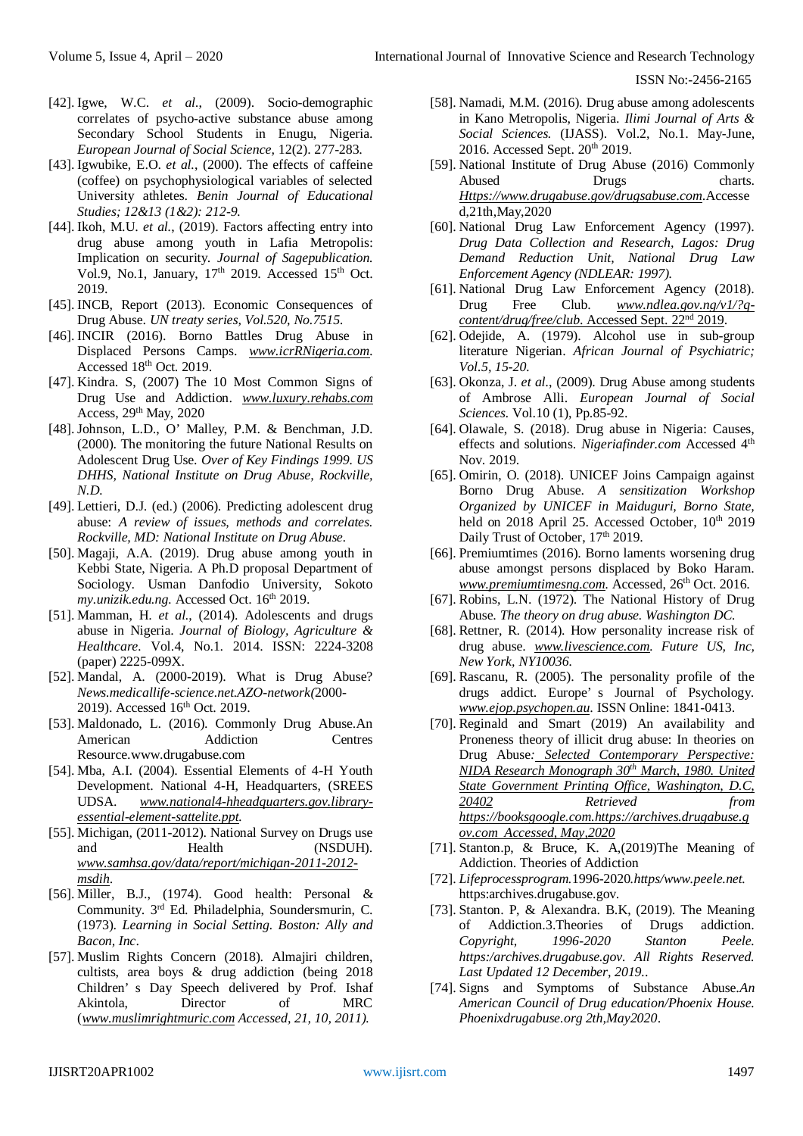- [42]. Igwe, W.C. *et al.*, (2009). Socio-demographic correlates of psycho-active substance abuse among Secondary School Students in Enugu, Nigeria. *European Journal of Social Science,* 12(2). 277-283.
- [43]. Igwubike, E.O. *et al.*, (2000). The effects of caffeine (coffee) on psychophysiological variables of selected University athletes. *Benin Journal of Educational Studies; 12&13 (1&2): 212-9.*
- [44]. Ikoh, M.U. *et al.*, (2019). Factors affecting entry into drug abuse among youth in Lafia Metropolis: Implication on security. *Journal of Sagepublication.*  Vol.9, No.1, January, 17<sup>th</sup> 2019. Accessed 15<sup>th</sup> Oct. 2019.
- [45]. INCB, Report (2013). Economic Consequences of Drug Abuse. *UN treaty series, Vol.520, No.7515.*
- [46]. INCIR (2016). Borno Battles Drug Abuse in Displaced Persons Camps. *[www.icrRNigeria.com.](http://www.icrrnigeria.com/)*  Accessed 18<sup>th</sup> Oct. 2019.
- [47]. Kindra. S, (2007) The 10 Most Common Signs of Drug Use and Addiction. *[www.luxury.rehabs.com](http://www.luxury.rehabs.com/)* Access, 29th May, 2020
- [48]. Johnson, L.D., O' Malley, P.M. & Benchman, J.D. (2000). The monitoring the future National Results on Adolescent Drug Use. *Over of Key Findings 1999. US DHHS, National Institute on Drug Abuse, Rockville, N.D.*
- [49]. Lettieri, D.J. (ed.) (2006). Predicting adolescent drug abuse: *A review of issues, methods and correlates. Rockville, MD: National Institute on Drug Abuse.*
- [50]. Magaji, A.A. (2019). Drug abuse among youth in Kebbi State, Nigeria. A Ph.D proposal Department of Sociology. Usman Danfodio University, Sokoto *my.unizik.edu.ng.* Accessed Oct. 16th 2019.
- [51]. Mamman, H. *et al.*, (2014). Adolescents and drugs abuse in Nigeria. *Journal of Biology, Agriculture & Healthcare.* Vol.4, No.1. 2014. ISSN: 2224-3208 (paper) 2225-099X.
- [52]. Mandal, A. (2000-2019). What is Drug Abuse? *News.medicallife-science.net.AZO-network(*2000- 2019). Accessed 16<sup>th</sup> Oct. 2019.
- [53]. Maldonado, L. (2016). Commonly Drug Abuse.An American Addiction Centres Resource.www.drugabuse.com
- [54]. Mba, A.I. (2004). Essential Elements of 4-H Youth Development. National 4-H, Headquarters, (SREES UDSA. *[www.national4-hheadquarters.gov.library](http://www.national4-hheadquarters.gov.library-essential-element-sattelite.ppt/)[essential-element-sattelite.ppt.](http://www.national4-hheadquarters.gov.library-essential-element-sattelite.ppt/)*
- [55]. Michigan, (2011-2012). National Survey on Drugs use and Health (NSDUH). *[www.samhsa.gov/data/report/michigan-2011-2012](http://www.samhsa.gov/data/report/michigan-2011-2012-msdih) [msdih](http://www.samhsa.gov/data/report/michigan-2011-2012-msdih)*.
- [56]. Miller, B.J., (1974). Good health: Personal & Community. 3rd Ed. Philadelphia, Soundersmurin, C. (1973). *Learning in Social Setting. Boston: Ally and Bacon, Inc*.
- [57]. Muslim Rights Concern (2018). Almajiri children, cultists, area boys & drug addiction (being 2018 Children' s Day Speech delivered by Prof. Ishaf Akintola, Director of MRC (*[www.muslimrightmuric.com](http://www.muslimrightmuric.com/) Accessed, 21, 10, 2011).*
- [58]. Namadi, M.M. (2016). Drug abuse among adolescents in Kano Metropolis, Nigeria. *Ilimi Journal of Arts & Social Sciences.* (IJASS). Vol.2, No.1. May-June, 2016. Accessed Sept. 20<sup>th</sup> 2019.
- [59]. National Institute of Drug Abuse (2016) Commonly Abused Drugs charts. *[Https://www.drugabuse.gov/drugsabuse.com](https://www.drugabuse.gov/drugsabuse.com)*.Accesse d,21th,May,2020
- [60]. National Drug Law Enforcement Agency (1997). *Drug Data Collection and Research, Lagos: Drug Demand Reduction Unit, National Drug Law Enforcement Agency (NDLEAR: 1997).*
- [61]. National Drug Law Enforcement Agency (2018). Drug Free Club. *[www.ndlea.gov.ng/v1/?q](http://www.ndlea.gov.ng/v1/?q-content/drug/free/club.%20Accessed%20Sept.%2022nd%202019)[content/drug/free/club](http://www.ndlea.gov.ng/v1/?q-content/drug/free/club.%20Accessed%20Sept.%2022nd%202019)*. Accessed Sept. 22nd 2019.
- [62]. Odejide, A. (1979). Alcohol use in sub-group literature Nigerian. *African Journal of Psychiatric; Vol.5, 15-20.*
- [63]. Okonza, J. *et al.*, (2009). Drug Abuse among students of Ambrose Alli. *European Journal of Social Sciences.* Vol.10 (1), Pp.85-92.
- [64]. Olawale, S. (2018). Drug abuse in Nigeria: Causes, effects and solutions. *Nigeriafinder.com* Accessed 4<sup>th</sup> Nov. 2019.
- [65]. Omirin, O. (2018). UNICEF Joins Campaign against Borno Drug Abuse. *A sensitization Workshop Organized by UNICEF in Maiduguri, Borno State,*  held on 2018 April 25. Accessed October, 10<sup>th</sup> 2019 Daily Trust of October, 17<sup>th</sup> 2019.
- [66]. Premiumtimes (2016). Borno laments worsening drug abuse amongst persons displaced by Boko Haram. *[www.premiumtimesng.com.](http://www.premiumtimesng.com/)* Accessed, 26<sup>th</sup> Oct. 2016.
- [67]. Robins, L.N. (1972). The National History of Drug Abuse. *The theory on drug abuse. Washington DC.*
- [68]. Rettner, R. (2014). How personality increase risk of drug abuse. *[www.livescience.com.](http://www.livescience.com/) Future US, Inc, New York, NY10036.*
- [69]. Rascanu, R. (2005). The personality profile of the drugs addict. Europe' s Journal of Psychology. *[www.ejop.psychopen.au](http://www.ejop.psychopen.au/)*. ISSN Online: 1841-0413.
- [70]. Reginald and Smart (2019) An availability and Proneness theory of illicit drug abuse: In theories on Drug Abuse*: Selected Contemporary Perspective: NIDA Research Monograph 30th March, 1980. United State Government Printing Office, Washington, D.C, 20402 Retrieved from [https://booksgoogle.com.https://archives.drugabuse.g](https://booksgoogle.com.https/archives.drugabuse.gov.com) [ov.com](https://booksgoogle.com.https/archives.drugabuse.gov.com) Accessed, May,2020*
- [71]. Stanton.p, & Bruce, K. A,(2019)The Meaning of Addiction. Theories of Addiction
- [72]. *Lifeprocessprogram.*1996-2020*.https/www.peele.net.* https:archives.drugabuse.gov.
- [73]. Stanton. P, & Alexandra. B.K, (2019). The Meaning of Addiction.3.Theories of Drugs addiction. *Copyright, 1996-2020 Stanton Peele. https:/archives.drugabuse.gov. All Rights Reserved. Last Updated 12 December, 2019.*.
- [74]. Signs and Symptoms of Substance Abuse.*An American Council of Drug education/Phoenix House. Phoenixdrugabuse.org 2th,May2020*.